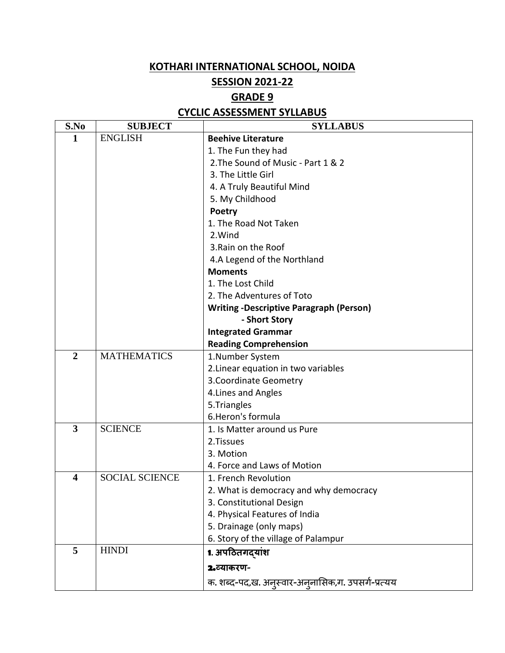## **KOTHARI INTERNATIONAL SCHOOL, NOIDA**

## **SESSION 2021-22**

## **GRADE 9**

## **CYCLIC ASSESSMENT SYLLABUS**

| S.No           | <b>SUBJECT</b>        | <b>SYLLABUS</b>                                   |
|----------------|-----------------------|---------------------------------------------------|
| 1              | <b>ENGLISH</b>        | <b>Beehive Literature</b>                         |
|                |                       | 1. The Fun they had                               |
|                |                       | 2. The Sound of Music - Part 1 & 2                |
|                |                       | 3. The Little Girl                                |
|                |                       | 4. A Truly Beautiful Mind                         |
|                |                       | 5. My Childhood                                   |
|                |                       | Poetry                                            |
|                |                       | 1. The Road Not Taken                             |
|                |                       | 2. Wind                                           |
|                |                       | 3. Rain on the Roof                               |
|                |                       | 4.A Legend of the Northland                       |
|                |                       | <b>Moments</b>                                    |
|                |                       | 1. The Lost Child                                 |
|                |                       | 2. The Adventures of Toto                         |
|                |                       | <b>Writing -Descriptive Paragraph (Person)</b>    |
|                |                       | - Short Story                                     |
|                |                       | <b>Integrated Grammar</b>                         |
|                |                       | <b>Reading Comprehension</b>                      |
| $\overline{2}$ | <b>MATHEMATICS</b>    | 1.Number System                                   |
|                |                       | 2. Linear equation in two variables               |
|                |                       | 3. Coordinate Geometry                            |
|                |                       | 4. Lines and Angles                               |
|                |                       | 5.Triangles                                       |
|                |                       | 6. Heron's formula                                |
| 3              | <b>SCIENCE</b>        | 1. Is Matter around us Pure                       |
|                |                       | 2.Tissues                                         |
|                |                       | 3. Motion                                         |
|                |                       | 4. Force and Laws of Motion                       |
| 4              | <b>SOCIAL SCIENCE</b> | 1. French Revolution                              |
|                |                       | 2. What is democracy and why democracy            |
|                |                       | 3. Constitutional Design                          |
|                |                       | 4. Physical Features of India                     |
|                |                       | 5. Drainage (only maps)                           |
|                |                       | 6. Story of the village of Palampur               |
| 5              | <b>HINDI</b>          | 1. अपठितगदयांश                                    |
|                |                       | 2.व्याकरण-                                        |
|                |                       | क. शब्द-पद,ख. अनुस्वार-अनुनासिक,ग. उपसर्ग-प्रत्यय |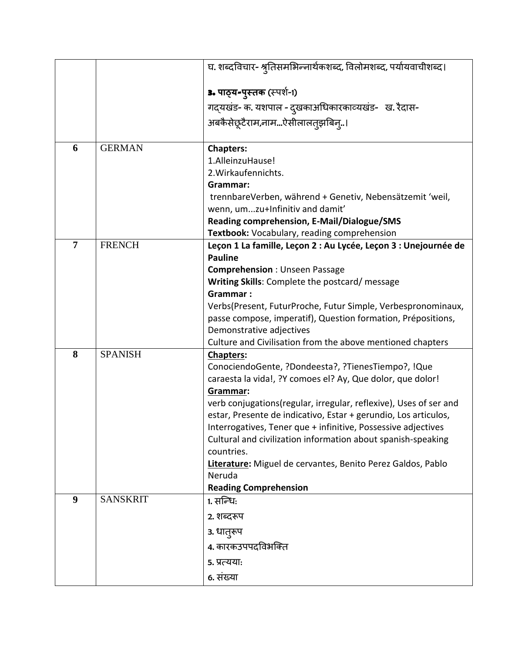|                |                 | घ. शब्दविचार- श्रुतिसमभिन्नार्थकशब्द, विलोमशब्द, पर्यायवाचीशब्द।      |
|----------------|-----------------|-----------------------------------------------------------------------|
|                |                 | 3. पाठ्य-पुस्तक (स्पर्श-1)                                            |
|                |                 | गद्यखंड- क. यशपाल - दुखकाअधिकारकाव्यखंड- ख. रैदास-                    |
|                |                 | अबकैसेछूटैराम,नामऐसीलालतुझबिनु।                                       |
|                |                 |                                                                       |
| 6              | <b>GERMAN</b>   | <b>Chapters:</b>                                                      |
|                |                 | 1.AlleinzuHause!                                                      |
|                |                 | 2. Wirkaufennichts.                                                   |
|                |                 | Grammar:                                                              |
|                |                 | trennbareVerben, während + Genetiv, Nebensätzemit 'weil,              |
|                |                 | wenn, umzu+Infinitiv and damit'                                       |
|                |                 | Reading comprehension, E-Mail/Dialogue/SMS                            |
|                |                 | Textbook: Vocabulary, reading comprehension                           |
| $\overline{7}$ | <b>FRENCH</b>   | Leçon 1 La famille, Leçon 2 : Au Lycée, Leçon 3 : Unejournée de       |
|                |                 | <b>Pauline</b>                                                        |
|                |                 | <b>Comprehension: Unseen Passage</b>                                  |
|                |                 | Writing Skills: Complete the postcard/ message                        |
|                |                 | Grammar:                                                              |
|                |                 | Verbs(Present, FuturProche, Futur Simple, Verbespronominaux,          |
|                |                 | passe compose, imperatif), Question formation, Prépositions,          |
|                |                 | Demonstrative adjectives                                              |
|                |                 | Culture and Civilisation from the above mentioned chapters            |
| 8              | <b>SPANISH</b>  | Chapters:                                                             |
|                |                 | ConociendoGente, ?Dondeesta?, ?TienesTiempo?, !Que                    |
|                |                 | caraesta la vida!, ?Y comoes el? Ay, Que dolor, que dolor!            |
|                |                 | Grammar:                                                              |
|                |                 | verb conjugations(regular, irregular, reflexive), Uses of ser and     |
|                |                 | estar, Presente de indicativo, Estar + gerundio, Los articulos,       |
|                |                 | Interrogatives, Tener que + infinitive, Possessive adjectives         |
|                |                 | Cultural and civilization information about spanish-speaking          |
|                |                 | countries.                                                            |
|                |                 | Literature: Miguel de cervantes, Benito Perez Galdos, Pablo<br>Neruda |
|                |                 | <b>Reading Comprehension</b>                                          |
| 9              | <b>SANSKRIT</b> | 1. सन्धिः                                                             |
|                |                 |                                                                       |
|                |                 | 2. शब्दरूप                                                            |
|                |                 | 3. धातुरूप                                                            |
|                |                 | 4. कारकउपपदविभक्ति                                                    |
|                |                 | 5. प्रत्यया:                                                          |
|                |                 | 6. संख्या                                                             |